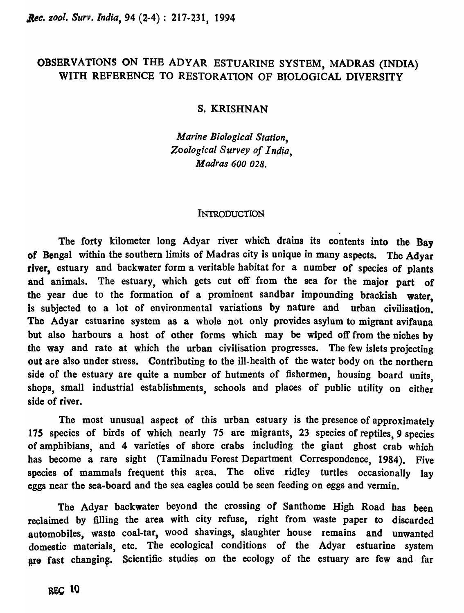# OBSERVATIONS ON THE ADYAR ESTUARINE SYSTEM, MADRAS (INDIA) WITH REFERENCE TO RESTORATION OF BIOLOGICAL DIVERSITY

## S, KRISHNAN

*Marine Biological Station, Zoological Survey of India, Madras 600 028.* 

#### INTRODUCTION

The forty kilometer long Adyar river which drains its contents into the Bay of Bengal within the southern limits of Madras city is unique in many aspects. The Adyar river, estuary and backwater form a veritable habitat for a number of species of plants and animals. The estuary, which gets cut off from the sea for the major part of the year due to the formation of a prominent sandbar impounding brackish water, is subjected to a lot of environmental variations by nature and urban civilisation. The Adyar estuarine system as a whole not only provides asylum to migrant avifauna but also harbours a host of other forms which may be wiped off from the niches by the way and rate at which the urban civilisation progresses. The few islets projecting out are also under stress. Contributing to the ill-health of the water body on the northern side of the estuary are quite a number of hutments of fishermen, housing board units shops, small industrial establishments, schools and places of public utility on either side of river.

The most unusual aspect of this urban estuary is the presence of approximately *17S* species of birds of which nearly 75 are migrants, 23 species of reptiles, 9 species of amphibians, and 4 varieties of shore crabs including the giant ghost crab which has become a rare sight (Tamilnadu Forest Department Correspondence, 1984). Five species of mammals frequent this area, The olive ridley turtles occasionally lay eggs near the sea-board and the sea eagles could be seen feeding on eggs and vermin.

The Adyar backwater beyond the crossing of Santhome High Road has been reclaimed by filling the area with city refuse, right from waste paper to discarded automobiles, waste coal-tar, wood shavings, slaughter house remains and unwanted domestic materials, etc. The ecological conditions of the Adyar estuarine system are fast changing. Scientific studies on the ecology of the estuary are few and far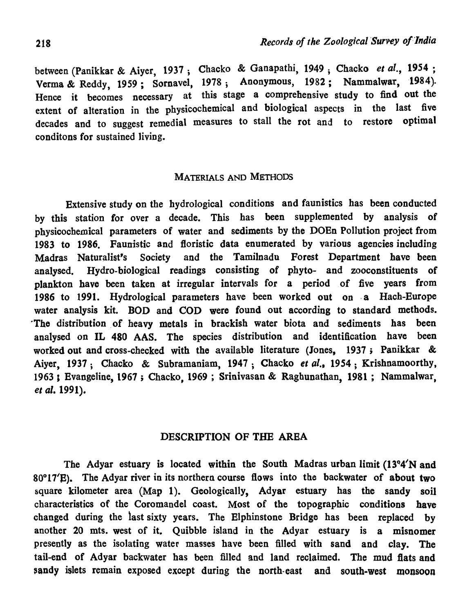between (Panikkar & Aiyer, 1937; Chacko & Ganapathi, 1949 ; Chacko *et a1.,* 1954 ; Verma & Reddy, 1959; Sornavel, 1978; Anonymous, 1982; Nammalwar, 1984). Hence it becomes necessary at this stage a comprehensive study to find out the extent of alteration in the physicochemical and biological aspects in the last five decades and to suggest remedial measures to stall the rot and to restore optimal conditons for sustained living.

## MATERIALS AND METHODS

Extensive study on the hydrological conditions and faunistics has been conducted by this station for over a decade. This has been supplemented by analysis of physicochemical parameters of water and sediments by the DOEn Pollution project from 1983 to 1986. Faunistic and floristic data enumerated by various agencies including Madras Naturalist's Society and the Tamilnadu Forest Department have been analysed. Hydro-biological readings consisting of phyto- and zooconstituents of plankton have been taken at irregular intervals for a period of five years from 1986 to 1991. Hydrological parameters have been worked out on . a Hach-Europe water analysis kit. BOD and COD were found out according to standard methods. The distribution of heavy metals in brackish water biota and sediments has been analysed on IL 480 AAS. The species distribution and identification have been worked out and cross-checked with the available literature (Jones, 1937; Panikkar & Aiyer, 1937; Chacko & Subramaniam, 1947; Chacko *et al.*, 1954; Krishnamoorthy, 1963 , Evangeline, 1967 ; Chacko, 1969 ; Srinivasan & Raghunathan, 1981; Nammalwar, *et al.* 1991).

# DESCRIPTION OF THE AREA

The Adyar estuary is located within the South Madras urban limit  $(13^{\circ}4'N$  and  $80^{\circ}$ 17'E). The Adyar river in its northern course flows into the backwater of about two square kilometer area (Map 1). Geologically, Adyar estuary has the sandy soil characteristics of the Coromandel coast. Most of the topographic conditions have changed during the last sixty years. The Elphinstone Bridge has been replaced by another 20 mts. west of it. Quibble island in the Adyar estuary is a misnomer presently as the isolating water masses have been filled with sand and clay. The tail-end of Adyar backwater has been filled and land reclaimed. The mud flats and sandy islets remain exposed except during the north-east and south-west monsoon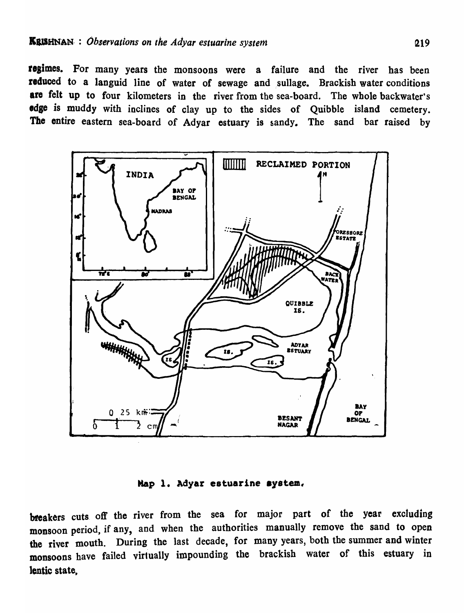regimes. For many years the monsoons were a failure and the river has been reduced to a languid line of water of sewage and sullage. Brackish water conditions are felt up to four kilometers in the river from the sea-board. The whole backwater's edge is muddy with inclines of clay up to the sides of Quibble island cemetery. The entire eastern sea-board of Adyar estuary is sandy. The sand bar raised by



Map 1. Adyar estuarine system.

breakers cuts off the river from the sea for major part of the year excluding monsoon period, if any, and when the authorities manually remove the sand to open the river mouth. During the last decade, for many years, both the summer and winter monsoons have failed virtually impounding the brackish water of this estuary in lentic state.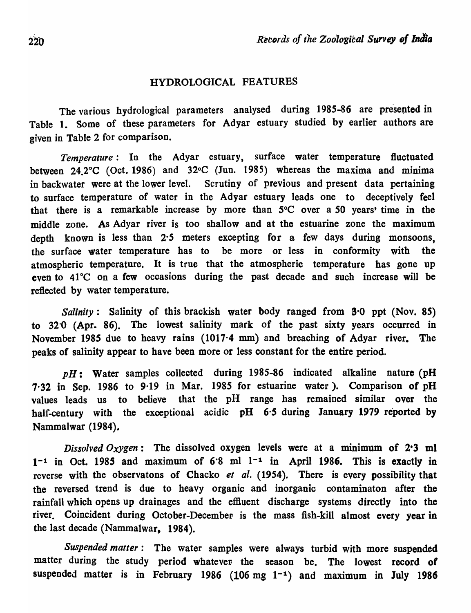## HYDROLOGICAL FEATURES

The various hydrological parameters analysed during 1985-86 are presented in Table 1. Some of these parameters for Adyar estuary studied by earlier authors are given in Table 2 for comparison.

*Temperature:* In the Adyar estuary, surface water temperature fluctuated between 24.2°C (Oct. 1986) and 32°C (Jun. 1985) whereas the maxima and minima in backwater were at the lower level. Scrutiny of previous and present data pertaining to surface temperature of water in the Adyar estuary leads one to deceptively feel that there is a remarkable increase by more than *SoC* over a *SO* years' time in the middle zone. As Adyar river is too shallow and at the estuarine zone the maximum depth known is less than 2.5 meters excepting for a few days during monsoons. the surface water temperature has to be more or less in conformity with the atmospheric temperature. It is true that the atmospheric temperature has gone up even to 41°C on a few occasions during the past decade and such increase will be reflected by water temperature.

*Salinity*: Salinity of this brackish water body ranged from **3**<sup>0</sup> ppt (Nov. 85) to 32'0 (Apr. 86). The lowest salinity mark of the past sixty years occurred in November 1985 due to heavy rains (1017'4 mm) and breaching of Adyar river. The peaks of salinity appear to have been more or less constant for the entire period.

*pH:* Water samples collected during 1985-86 indicated alkaline nature (pH  $7.32$  in Sep. 1986 to 9.19 in Mar. 1985 for estuarine water). Comparison of pH values leads us to believe that the pH range has remained similar over the half-century with the exceptional acidic pH 6'5 during January 1979 reported by Nammalwar (1984).

*Dissolved Oxygen*: The dissolved oxygen levels were at a minimum of 2.3 ml  $1<sup>-1</sup>$  in Oct. 1985 and maximum of 6.8 ml  $1<sup>-1</sup>$  in April 1986. This is exactly in reverse with the observatons of Chacko *et al.* (1954). There is every possibility that the reversed trend is due to heavy organic and inorganic contaminaton after the rainfall which opens up drainages and the effluent discharge systems directly into the river, Coincident during October-December is the mass fish-kill almost every year in the last decade (Nammalwar, 1984).

*Suspended matter:* The water samples were always turbid with more suspended matter during the study period whatever the season be. The lowest record of suspended matter is in February 1986 (106 mg  $1<sup>-1</sup>$ ) and maximum in July 1986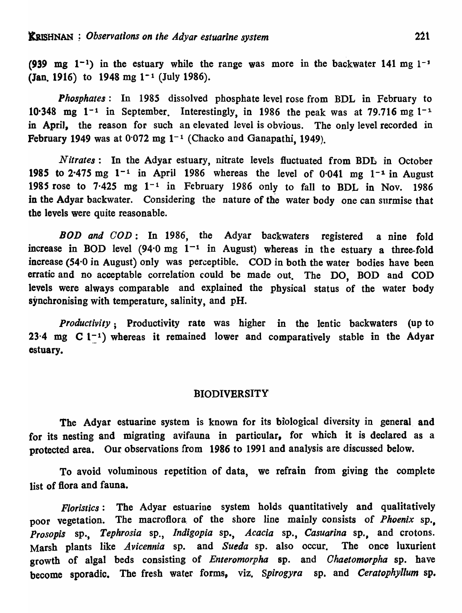(939 mg  $1^{-1}$ ) in the estuary while the range was more in the backwater 141 mg  $1^{-1}$ (Jan. 1916) to 1948 mg  $1<sup>-1</sup>$  (July 1986).

*Phosphates:* In 1985 dissolved phosphate level rose from BDL in February to 10.348 mg  $1^{-1}$  in September. Interestingly, in 1986 the peak was at 79.716 mg  $1^{-1}$ . in April, the reason for such an elevated level is obvious. The only level recorded in February 1949 was at  $0.072$  mg  $1<sup>-1</sup>$  (Chacko and Ganapathi, 1949).

*Nitrates*: In the Adyar estuary, nitrate levels fluctuated from BDL in October 1985 to 2.475 mg  $1^{-1}$  in April 1986 whereas the level of 0.041 mg  $1^{-1}$  in August 1985 rose to 7.425 mg  $1^{-1}$  in February 1986 only to fall to BDL in Nov. 1986 in the Adyar backwater. Considering the nature of the water body one can surmise that the levels were quite reasonable.

*BOD and GOD:* In 1986, the Adyar backwaters registered a nine fold increase in BOD level  $(94.0 \text{ mg } 1^{-1}$  in August) whereas in the estuary a three-fold increase (54'0 in August) only was perceptible. COD in both the water bodies have been erratic and no acceptable correlation could be made out. The DO, BOD and COD levels were always comparable and explained the physical status of the water body synchronising with temperature, salinity, and pH.

*productivity;* Productivity rate was higher in the lentic backwaters (up to 23.4 mg  $C$  1<sup>-1</sup>) whereas it remained lower and comparatively stable in the Adyar estuary.

## **BIODIVERSITY**

The Adyar estuarine system is known for its biological diversity in general and for its nesting and migrating avifauna in particular, for which it is declared as a protected area. Our observations from 1986 to 1991 and analysis are discussed below.

To avoid voluminous repetition of data, we refrain from giving the complete list of flora and fauna.

*Floristics:* The Adyar estuarine system holds quantitatively and qualitatively poor vegetation. The macrofiora, of the shore line mainly consists of *Phoenix* sp., *Prosopis* sp., *Tephrosia* sP., *Indigopia* sp., *Acacia* sp., *Casuarina* sp., and crotons. Marsh plants like *Avicennia* sp. and *Sueda* sp. also occur. The once luxurient growth of algal beds consisting of *Enteromorpha* sp. and *Ohaetomorpha* sp. have become sporadic. The fresh water forms, viz. *Spirogyra* sp. and *Ceratophyllum* sp.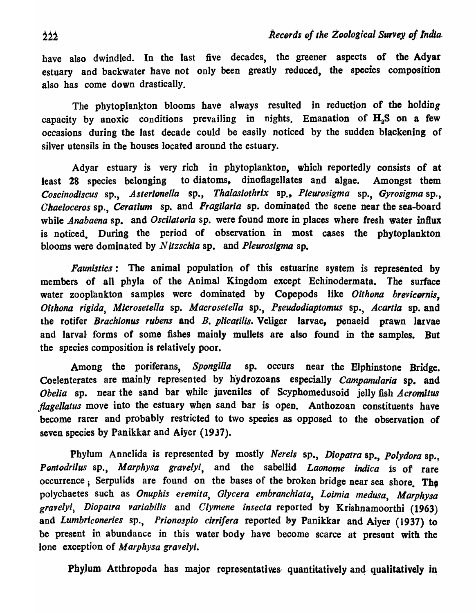have also dwindled. In the last five decades, the greener aspects of the Adyar estuary and backwater have not only been greatly reduced, the species composition also has come down drastically.

The phytoplankton blooms have always resulted in reduction of the holding capacity by anoxic conditions prevailing in nights. Emanation of  $H<sub>2</sub>S$  on a few occasions during the last decade could be easily noticed by the sudden blackening of silver utensils in the houses located around the estuary.

Adyar estuary is very rich in phytoplankton, which reportedly consists of at least 28 species belonging to diatoms, dinoflagellates and algae. Amongst them *Coscinodiscus* sp., *Asterionella* sp., *Thalasiothrix* sp" *Pleurosigma* sp., *Gyrosigma* sp., *Chaeloceros* sp., *Ceratium* sp. and *Fragilaria* sp. dominated the scene near the sea-board while *Anabaena* sp. and *Oscilatoria* sp. were found more in places where fresh water influx is noticed. During the period of observation in most cases the phytoplankton blooms were dominated by *Nitzschia* sp. and *Pleurosigma* sp.

*Faunistics:* The animal population of this estuarine system is represented by members of all phyla of the Animal Kingdom except Echinodermata. The surface water zooplankton samples were dominated by Copepods like Oithona brevicornis, *Oithona rigida, Microsetella sp. Macrosetella sp., Pseudodiaptomus sp., Acartia sp.* and the rotifer *Brachionus rubens* and *B. plicatilis.* Veliger larvae, penaeid prawn larvae and larval forms of some fishes mainly mullets are also found in the samples. But the species composition is relatively poor.

Among the poriferans, *Spongil/a* sp. occurs near the Elphinstone Bridge. Coelenterates are mainly represented by hydrozoans especially *Campanularia* sp. and *Obelia* sp. near the sand bar while juveniles of Scyphomedusoid jelly fish *Acromitus flagellatus* move into the estuary when sand bar is open. Anthozoan constituents have become rarer and probably restricted to two species as opposed to the observation of seven species by Panikkar and Aiyer (1937).

Phylum Annelida is represented by mostly *Nereis* sp., *Diopatra* sp., *Polydora* sp., Pontodrilus sp., Marphysa gravelyi, and the sabellid *Laonome indica* is of rare occurrence; Serpulids are found on the bases of the broken bridge near sea shore. The polychaetes such as *Onuphis eremita, Glycera embranchiata, Loimia medusa, Marphysa*  gravelyi~ *Diopatra variabilis* and *Clymene insecta* reported by Krishnamoorthi (1963) and *Lumbriconeries* sp., *Prionospio cirri/era* reported by Panikkar and Aiyer (1937) to be present in abundance in this water body have become scarce at present with the lone exception of *M arphysa gravelyi.* 

Phylum Atthropoda has major representatives quantitatively and qualitatively in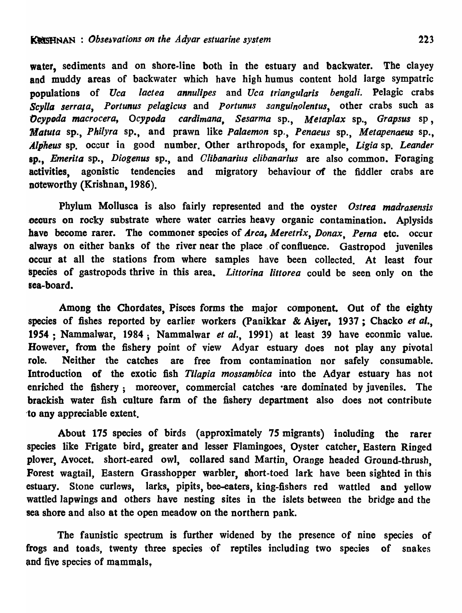water, sediments and on shore-line both in the estuary and backwater. The clayey and muddy areas of backwater which have high humus content hold large sympatric populations of *Uca lactea annulipes* and *Uca triangularis bengali*. Pelagic crabs Scylla serrata, Portunus pelagicus and Portunus sanguinolentus, other crabs such as *OcypDda macro cera, Ocypoda cardimana, Sesarma* sp., *Metaplax* sp., *Grapsus* sp, *Matula* sp., *Philyra* sp., and prawn like *Palaemon* sp., *Penaeus* sp., *Metapenaeus* sp., *Alpneus* sp. occur in good number. Other arthropods, for example, *Ligia* sp. *Leander*  sp., *Emerita* sp., *Diogenus* sp., and *Clibanarius clibanarius* are also common. Foraging activities, agonistic tendencies and migratory behaviour of the fiddler crabs are noteworthy (Krishnan, 1986).

Phylum Mollusca is also fairly represented and the oyster *Oslrea madraaensis*  occurs on rocky substrate where water carries heavy organic contamination. Aplysids have become rarer. The commoner species of *Arca*, *Meretrix*, *Donax*, *Perna* etc. occur always on either banks of the river near the place of confluence. Gastropod juveniles occur at all the stations from where samples have been collected. At least four species of gastropods thrive in this area. *Littorina littorea* could be seen only on the sea-board.

Among the Chordates, Pisces forms the major component. Out of the eighty species of fishes reported by earlier workers (Panikkar & Aiyer, 1937; Chacko et al., 1954 ; Nammalwar, 1984; Nammalwar *et al.,* 1991) at least 39 have econmic value. However, from the fishery point of view Adyar estuary does not play any pivotal role. Neither the catches are free from contamination nor safely consumable. Introduction of the exotic fish *TUapia mossambica* into the Adyar estuary has not enriched the fishery; moreover, commercial catches are dominated by juveniles. The brackish water fish culture farm of the fishery department also does not contribute to any appreciable extent.

About 175 species of birds (approximately 75 migrants) inoluding the rarer species like Frigate bird, greater and lesser Flamingoes, Oyster catcher Eastern Ringed ployer, Avocet. short-eared owl, collared sand Martin, Orange headed Ground-thrush, Forest wagtail, Eastern Grasshopper warbler, short-toed lark have been sighted in this estuary. Stone curlews, larks, pipits, bee-eaters, king-fishers red wattled and yellow wattled lapwings and others have nesting sites in the islets between the bridge and the sea shore and also at the open meadow on the northern pank.

The faunistic spectrum is further widened by the presence of nine species of frogs and toads, twenty three species 'of reptiles including two species of snakes and five species of mammals,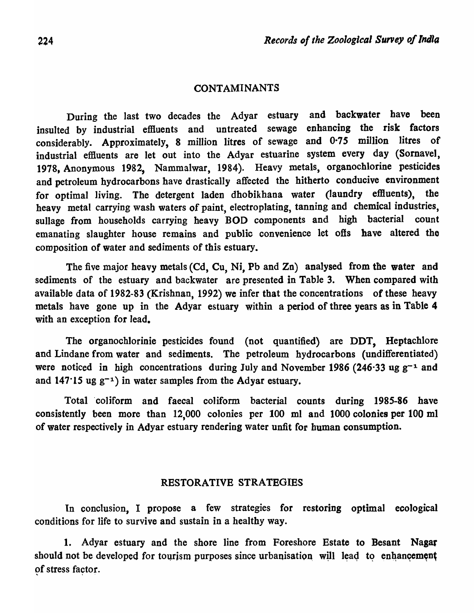## CONTAMINANTS

During the last two decades the Adyar estuary and backwater have been insulted by industrial effluents and untreated sewage enhancing the risk factors considerably. Approximately, 8 million litres of sewage and 0·75 million litres of industrial eflluents are let out into the Adyar estuarine system every day (Sornavel, 1978, Anonymous 1982, Nammalwar, 1984). Heavy metals, organochlorine pesticides and petroleum hydrocarbons have drastically affected the hitherto conducive environment for optimal living. The detergent laden dhobikhana water (laundry effluents), the heavy metal carrying wash waters of paint, electroplating, tanning and chemical industries, sullage from households carrying heavy BOD components and high bacterial count emanating slaughter house remains and public convenience let ofts have altered the composition of water and sediments of this estuary\_

The five major heavy metals (Cd, Cu, Ni, Pb and Zn) analysed from the water and sediments of the estuary and backwater are presented in Table 3. When compared with available data of 1982-83 (Krishnan, 1992) we infer that the concentrations of these heavy metals have gone up in the Adyar estuary within a period of three years as in Table 4 with an exception for lead.

The organochlorinie pesticides found (not quantified) are DDT, Heptachlore and Lindane from water and sediments. The petroleum hydrocarbons (undifferentiated) were noticed in high concentrations during July and November 1986 (246.33 ug  $g^{-1}$  and and 147·15 ug g-1) in water samples from the Adyar estuary.

Total 'coliform and faecal coliform bacterial counts during 1985-86 have consistently been more than 12,000 colonies per 100 ml and 1000 colonies per 100 ml of water respectively in Adyar estuary rendering water unfit for human consumption.

#### RESTORATIVE STRATEGIES

In conclusion, I propose a few strategies for restoring optimal ecological conditions for life to survive and sustain in a healthy way.

1. Adyar estuary and the shore line from Foreshore Estate to Besant Nagar should not be developed for tourism purposes since urbanisation, will lead to enhancement of stress factor.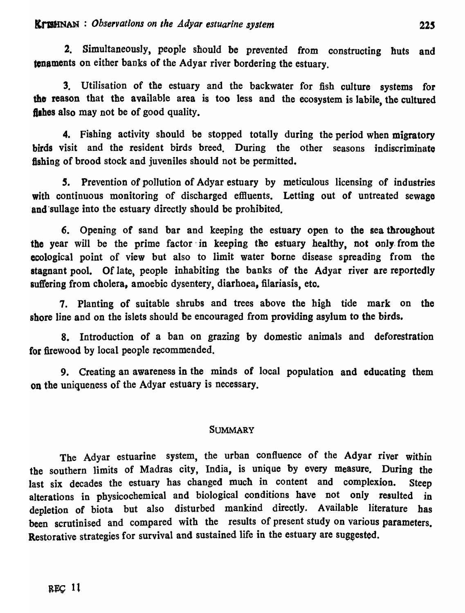2. Simultaneously, people should be prevented from constructing huts and tenaments on either banks of the Adyar river bordering the estuary.

3. Utilisation of the estuary and the backwater for fish culture systems for the reason that the available area is too less and the ecosystem is labile, the cultured fishes also may not be of good quality.

4. Fishing activity should be stopped totally during the period when migratory birds visit and the resident birds breed. During the other seasons indiscriminate fishing of brood stock and juveniles should not be permitted.

*s.* Prevention of pollution of Adyar estuary by meticulous licensing of industries with continuous monitoring of discharged effluents. Letting out of untreated sewage and sullage into the estuary directly should be prohibited.

6. Opening of sand bar and keeping the estuary open to the sea throughout the year will be the prime factor in keeping the estuary healthy, not only from the ecological point of view but also to limit water borne disease spreading from the stagnant pool. Of late, people inhabiting the banks of the Adyar river are reportedly suffering from cholera, amoebic dysentery, diarhoea, filariasis, etc.

7. Planting of suitable shrubs and trees above the high tide mark on the shore line and on the islets should be encouraged from providing asylum to the birds.

8. Introduction of a ban on grazing by domestic animals and deforestration for firewood by local people recommended.

9. Creating an awareness in the minds of local population and educating them on the uniqueness of the Adyar estuary is necessary.

## **SUMMARY**

The Adyar estuarine system, the urban confluence of the Adyar river within the southern limits of Madras city, India, is unique by every measure. During the last six decades the estuary has changed much in content and complexion. Steep alterations in physicochemical and biological conditions have not only resulted in depletion of biota but also disturbed mankind directly. Available literature has been scrutinised and compared with the results of present study on various parameters. Restorative strategies for survival and sustained life in the estuary are suggested.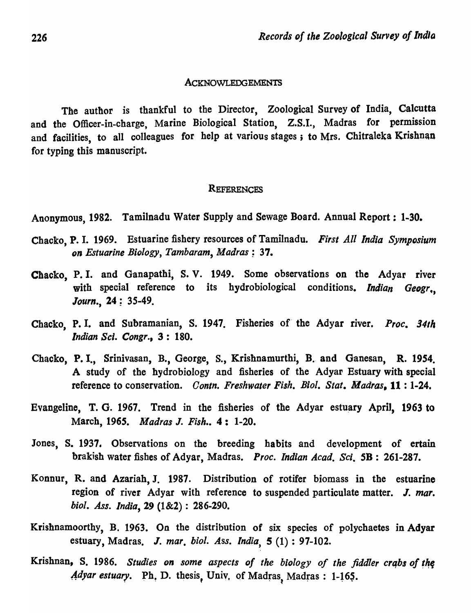#### ACKNOWLEDGEMENTS

The author is thankful to the Director, Zoological Survey of India, Calcutta and the Officer-in-charge, Marine Biological Station, Z.S.I., Madras for permission and facilities, to all colleagues for help at various stages; to Mrs. Chitraleka Krishnan for typing this manuscript.

#### **REFERENCES**

Anonymous, 1982. Tamilnadu Water Supply and Sewage Board. Annual Report: 1-30.

- Chacko, P. I. 1969. Estuarine fishery resources of Tamilnadu. *First All India Symposium on Estuarine Biology, Tambaram, Madras; 37.*
- Chacko, P. I. and Ganapathi, S. V. 1949. Some observations on the Adyar river with special reference to its hydrobiological conditions. *Indian Geogr., Journ.*, 24: 35-49.
- Chacko, P. I. and Subramanian, S. 1947. Fisheries of' the Adyar river. *Proc.* 341h *Indian Sci. Congr.,* 3: 180.
- Chacko, P. I., Srinivasan, B., George, S., Krishnamurthi, B. and Ganesan, R. 1954. A study of the hydrobiology and fisheries of the Adyar Estuary with special reference to conservation. *Contn. Freshwater Fish. Bioi. Stat. Madras,* 11 : 1-24.
- Evangeline, T. G. 1967. Trend in the fisheries of the Adyar estuary April, 1963 to March, 1965. *Madras* J. *Fish ••* 4: 1-20.
- Jones, S. 1937. Observations on the breeding habits and development of ertain brakish water fishes of Adyar, Madras. *Proc. Indian Acad. Sci.* SB: 261-287.
- Konnur, R. and Azariah, J. 1987. Distribution of rotifer biomass in the estuarine region of river Adyar with reference to suspended particulate matter. J. mar. *bioi. Ass. India,* 29 (1&2) : 286-290.
- Krishnamoorthy, B. 1963. On the distribution of six species of polychaetes in Adyar estuary, Madras. J. mar. biol. Ass. India, 5 (1): 97-102.
- Krishnan, S. 1986. *Studies on some aspects of the biology of the fiddler crabs of the Adyar estuary.* Ph. D. thesis, Univ. of Madras, Madras: 1-165.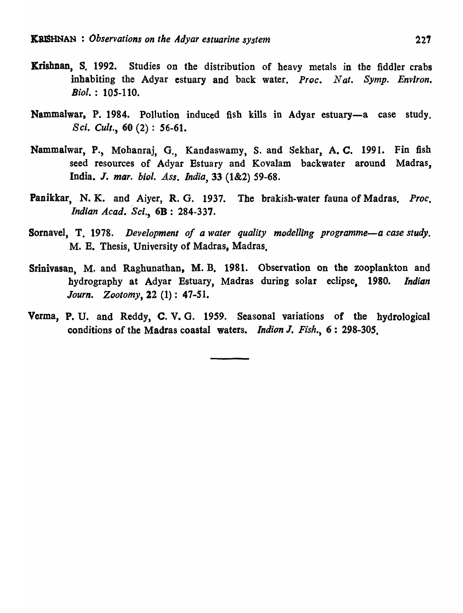- Krishnan, S. 1992. Studies on the distribution of heavy metals in the fiddler crabs inhabiting the Adyar estuary and back water. *Proc. Nat. Symp. Environ. Bioi.* : 105-110.
- Nammalwar, P. 1984. Pollution induced fish kills in Adyar estuary-a case study. *Sci. Cult.,* 60 (2) : 56-61.
- Nammalwar, P., Mohanraj, G., Kandaswamy, S. and Sekhar, A. C. 1991. Fin fish seed resources of Adyar Estuary and Kovalam backwater around Madras, India. J. *mar. bioi. Ass. India,* 33 (1&2) 59-68.
- Panikkar, N. K. and Aiyer, R. G. 1937. The brakish-water fauna of Madras. *Proc*. *Indian Acad. Sci.,* 6B: 284-337.
- Sornavel, T. 1978. *Development of a water quality modelling programme-a case study.* M. E. Thesis, University of Madras, Madras.
- Srinivasan, M. and Raghunathan, M. B. 1981. Observation on the zooplankton and hydrography at Adyar Estuary, Madras during solar eclipse, 1980. *Indian Journ. Zootomy,* 22 (1): 47-51.
- Verma, P. U. and Reddy, C. V. O. 1959. Seasonal variations of the hydrological conditions of the Madras coastal waters. *Indion* J. *Fish.,* 6: 298-305.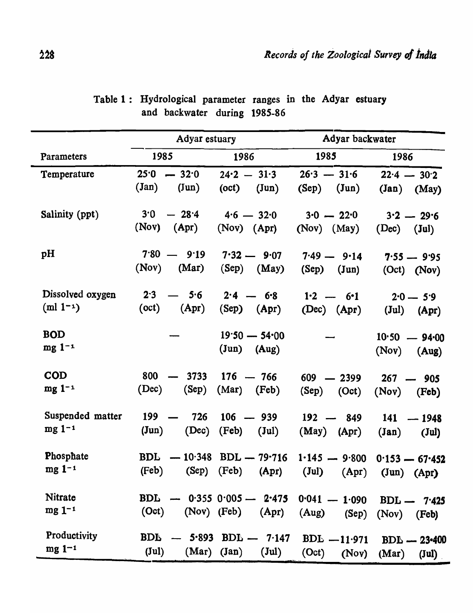|                  | Adyar estuary                          |                                        | Adyar backwater         |                                  |  |
|------------------|----------------------------------------|----------------------------------------|-------------------------|----------------------------------|--|
| Parameters       | 1985                                   | 1986                                   | 1985                    | 1986                             |  |
| Temperature      | $-32.0$<br>25.0                        | $24.2 - 31.3$                          | $26.3 - 31.6$           | $22.4 - 30.2$                    |  |
|                  | $(\text{Jan})$<br>$(\text{Jun})$       | $(\text{Jun})$<br>(oct)                | (Sep)<br>$(\text{Jun})$ | $(Jan)$ $(May)$                  |  |
| Salinity (ppt)   | 3.0<br>$-28.4$                         | $4.6 - 32.0$                           | $3.0 - 22.0$            | $3.2 - 29.6$                     |  |
|                  | (Nov)<br>(Apr)                         | (Nov) (Apr)                            | $(Nov)$ $(May)$         | (Dec)<br>$(\text{Jul})$          |  |
| pH               | $7.80 - 9.19$                          | $7.32 - 9.07$                          | $7.49 - 9.14$           | $7.55 - 9.95$                    |  |
|                  | (Nov)<br>(Mar)                         | $(Sep)$ $(May)$                        | (Sep)<br>$(\text{Jun})$ | (Oct) (Nov)                      |  |
| Dissolved oxygen | 2.3<br>5.6                             | $2.4 - 6.8$                            | $1.2 - 6.1$             | $2.0 - 5.9$                      |  |
| $(m! 1^{-1})$    | (oct)<br>(Apr)                         | $(Sep)$ $(Apr)$                        | $(Dec)$ $(Apr)$         | $(\text{Jul})$<br>(Apr)          |  |
| <b>BOD</b>       |                                        | $19.50 - 54.00$                        |                         | $10.50 - 94.00$                  |  |
| $mg 1^{-1}$      |                                        | $({\tt Jun})$<br>(Aug)                 |                         | (Nov)<br>(Aug)                   |  |
| <b>COD</b>       | 800<br>3733                            | $176 - 766$                            | 609<br>$-2399$          | 267<br>905<br>$\qquad \qquad$    |  |
| $mg 1^{-1}$      | (Dec)<br>(Sep)                         | (Mar)<br>(Feb)                         | (Sep)<br>(Oct)          | (Nov)<br>(Feb)                   |  |
| Suspended matter | 199<br>726<br>$\overline{\phantom{0}}$ | $106 - 939$                            | $192 - 849$             | 141<br>$-1948$                   |  |
| $mg 1-1$         | $(\text{Jun})$<br>(Dec)                | (Feb)<br>$(\text{Jul})$                | (May)<br>(Apr)          | $(\text{Jan})$<br>$(\text{Jul})$ |  |
| Phosphate        | BDL                                    | $-10.348$ BDL $-79.716$ 1.145 $-9.800$ |                         | $0.153 - 67.452$                 |  |
| $mg 1^{-1}$      | (Feb)                                  | (Sep) (Feb)<br>(Apr)                   | $(\text{Jul})$<br>(Apr) | $(\text{Jun})$<br>(Apr)          |  |
| Nitrate          | <b>BDL</b>                             | $0.355$ $0.005$ —<br>2.475             | $0.041 - 1.090$         | $BDL - 7.425$                    |  |
| $mg 1^{-1}$      | (Oct)                                  | (Nov) (Feb)<br>(Apr)                   | (Aug)<br>(Sep)          | (Nov)<br>(Feb)                   |  |
| Productivity     | <b>BDI</b><br>5.893                    | $BDL - 7.147$                          | $BDL - 11.971$          | $BDL - 23 - 400$                 |  |
| $mg 1^{-1}$      | $(\text{Jul})$<br>(Mar)                | (Jan)<br>$(\mathrm{Jul})$              | (Oct)<br>(Nov)          | (Mar)<br>$(\text{Jul})$          |  |

Table 1 : Hydrological parameter ranges in the Adyar estuary and backwater during 1985-86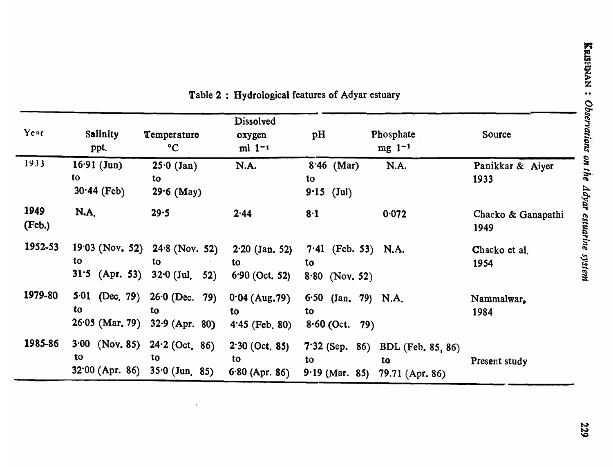| Year           | Salinity<br>ppt.                            | Temperature<br>$\rm ^{\circ}C$                                  | Dissolved<br>oxygen<br>$ml 1-1$            | pH                                              | Phosphate<br>$mg$ 1 <sup>-1</sup>                         | Source                     |
|----------------|---------------------------------------------|-----------------------------------------------------------------|--------------------------------------------|-------------------------------------------------|-----------------------------------------------------------|----------------------------|
| 1933           | $16.91$ (Jun)<br>to<br>$30.44$ (Feb)        | $25.0$ (Jan)<br>to<br>$29.6$ (May)                              | N.A.                                       | $8.46$ (Mar)<br>to<br>$9.15$ (Jul)              | N.A.                                                      | Panikkar & Aiyer<br>1933   |
| 1949<br>(Feb.) | <b>N.A.</b>                                 | 29.5                                                            | 2.44                                       | 8·1                                             | 0.072                                                     | Chacko & Ganapathi<br>1949 |
| 1952-53        | to<br>$31.5$ (Apr. 53)                      | $19.03$ (Nov. 52) $24.8$ (Nov. 52)<br>to<br>$32.0$ (Jul.<br>52) | $2.20$ (Jan. 52)<br>to<br>$6.90$ (Oct. 52) | $7.41$ (Feb. 53) N.A.<br>to<br>$8.80$ (Nov. 52) |                                                           | Chacko et al.<br>1954      |
| 1979-80        | $5.01$ (Dec. 79)<br>to<br>$26.05$ (Mar. 79) | $26.0$ (Dec. 79)<br>to<br>$32.9$ (Apr. 80)                      | $0.04$ (Aug. 79)<br>to<br>$4.45$ (Feb. 80) | 6.50 $(Jan. 79) N.A.$<br>to<br>$8.60$ (Oct. 79) |                                                           | Nammalwar,<br>1984         |
| 1985-86        | $3.00$ (Nov. 85)<br>to.                     | $24.2$ (Oct. 86)<br>to<br>$32.00$ (Apr. 86) $35.0$ (Jun. 85)    | $2.30$ (Oct. 85)<br>to<br>$6.80$ (Apr. 86) | to<br>$9.19$ (Mar. 85)                          | 7.32 (Sep. 86) BDL (Feb. 85, 86)<br>to<br>79.71 (Apr. 86) | Present study              |

 $\blacksquare$ 

Table 2: Hydrological features of Adyar estuary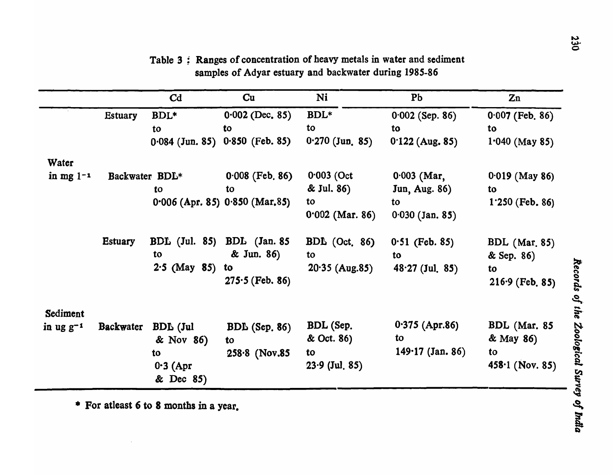|                |                  | Cd                      | Cu                                  | Ni                | P <sub>b</sub>       | Zn                   |
|----------------|------------------|-------------------------|-------------------------------------|-------------------|----------------------|----------------------|
|                | <b>Estuary</b>   | BDL*                    | $0.002$ (Dec. 85)                   | $BDL*$            | $0.002$ (Sep. 86)    | $0.007$ (Feb. 86)    |
|                |                  | to                      | to                                  | to                | to                   | to                   |
|                |                  | $0.084$ (Jun. 85)       | $0.850$ (Feb. 85)                   | $0.270$ (Jun. 85) | $0.122$ (Aug. 85)    | $1.040$ (May 85)     |
| Water          |                  |                         |                                     |                   |                      |                      |
| in mg $1-1$    | Backwater BDL*   |                         | $0.008$ (Feb. 86)                   | $0.003$ (Oct      | $0.003$ (Mar,        | $0.019$ (May 86)     |
|                |                  | to                      | to                                  | & Jul. 86)        | <b>Jun, Aug. 86)</b> | to                   |
|                |                  |                         | $0.006$ (Apr. 85) $0.850$ (Mar. 85) | to                | to                   | $1.250$ (Feb. 86)    |
|                |                  |                         |                                     | $0.002$ (Mar. 86) | $0.030$ (Jan. 85)    |                      |
|                | <b>Estuary</b>   | <b>BDL</b> (Jul. 85)    | <b>BDL</b> (Jan. 85)                | $BDL$ (Oct. 86)   | $0.51$ (Feb. 85)     | <b>BDL</b> (Mar. 85) |
|                |                  | to                      | & Jun. 86)                          | to                | to                   | & Sep. 86)           |
|                |                  | $2.5$ (May 85)          | to                                  | $20.35$ (Aug.85)  | $48.27$ (Jul. 85)    | to                   |
|                |                  |                         | $275.5$ (Feb. 86)                   |                   |                      | $216.9$ (Feb. 85)    |
| Sediment       |                  |                         |                                     |                   |                      |                      |
| in ug $g^{-1}$ | <b>Backwater</b> | <b>BDL</b> (Jul         | $BDL$ (Sep. 86)                     | BDL (Sep.         | $0.375$ (Apr.86)     | BDL (Mar. 85         |
|                |                  | & Nov 86)               | to                                  | & Oct. 86)        | to                   | & May 86)            |
|                |                  | to                      | $258.8$ (Nov.85)                    | to                | $149.17$ (Jan. 86)   | to                   |
|                |                  | $0.3$ (Apr<br>& Dec 85) |                                     | $23.9$ (Jul. 85)  |                      | $458.1$ (Nov. 85)    |

Table 3: Ranges of concentration of heavy metals in water and sediment samples of Adyar estuary and backwater during 1985-86

• For atleast 6 to 8 months in a year. ~